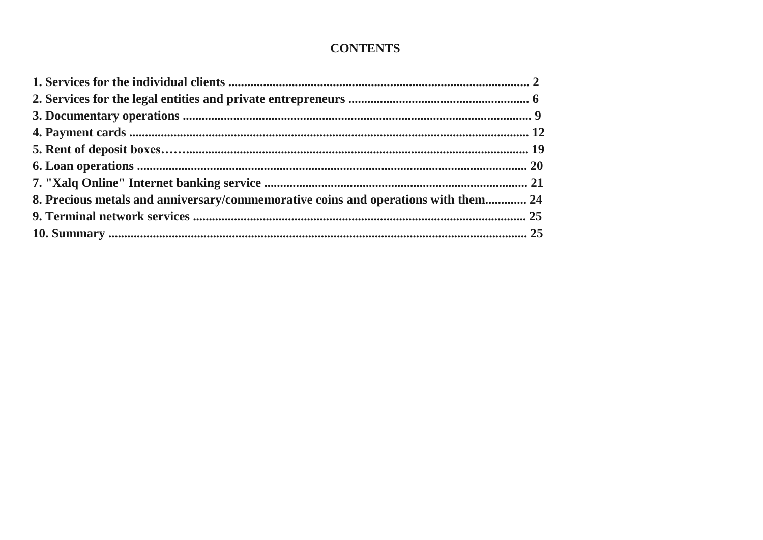# **CONTENTS**

| 8. Precious metals and anniversary/commemorative coins and operations with them 24 |  |
|------------------------------------------------------------------------------------|--|
|                                                                                    |  |
|                                                                                    |  |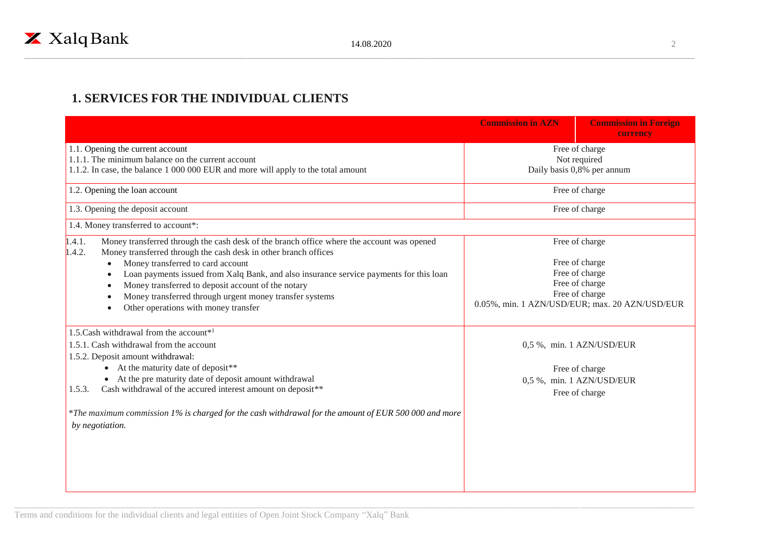## **1. SERVICES FOR THE INDIVIDUAL CLIENTS**

|                                                                                                                                                                                                                                                                                                                                                                                                                                                                                                                 | <b>Commission in AZN</b>                                                                                                                 | <b>Commission in Foreign</b><br>currency                                                   |
|-----------------------------------------------------------------------------------------------------------------------------------------------------------------------------------------------------------------------------------------------------------------------------------------------------------------------------------------------------------------------------------------------------------------------------------------------------------------------------------------------------------------|------------------------------------------------------------------------------------------------------------------------------------------|--------------------------------------------------------------------------------------------|
| 1.1. Opening the current account<br>1.1.1. The minimum balance on the current account<br>1.1.2. In case, the balance 1 000 000 EUR and more will apply to the total amount                                                                                                                                                                                                                                                                                                                                      | Free of charge<br>Not required<br>Daily basis 0,8% per annum                                                                             |                                                                                            |
| 1.2. Opening the loan account                                                                                                                                                                                                                                                                                                                                                                                                                                                                                   |                                                                                                                                          | Free of charge                                                                             |
| 1.3. Opening the deposit account                                                                                                                                                                                                                                                                                                                                                                                                                                                                                |                                                                                                                                          | Free of charge                                                                             |
| 1.4. Money transferred to account*:                                                                                                                                                                                                                                                                                                                                                                                                                                                                             |                                                                                                                                          |                                                                                            |
| 1.4.1.<br>Money transferred through the cash desk of the branch office where the account was opened<br>1.4.2.<br>Money transferred through the cash desk in other branch offices<br>Money transferred to card account<br>Loan payments issued from Xalq Bank, and also insurance service payments for this loan<br>$\bullet$<br>Money transferred to deposit account of the notary<br>$\bullet$<br>Money transferred through urgent money transfer systems<br>$\bullet$<br>Other operations with money transfer | Free of charge<br>Free of charge<br>Free of charge<br>Free of charge<br>Free of charge<br>0.05%, min. 1 AZN/USD/EUR; max. 20 AZN/USD/EUR |                                                                                            |
| 1.5. Cash withdrawal from the account <sup>*1</sup><br>1.5.1. Cash withdrawal from the account<br>1.5.2. Deposit amount withdrawal:<br>• At the maturity date of deposit**<br>• At the pre maturity date of deposit amount withdrawal<br>Cash withdrawal of the accured interest amount on deposit**<br>1.5.3.<br>*The maximum commission 1% is charged for the cash withdrawal for the amount of EUR 500 000 and more<br>by negotiation.                                                                       |                                                                                                                                          | 0,5 %, min. 1 AZN/USD/EUR<br>Free of charge<br>0,5 %, min. 1 AZN/USD/EUR<br>Free of charge |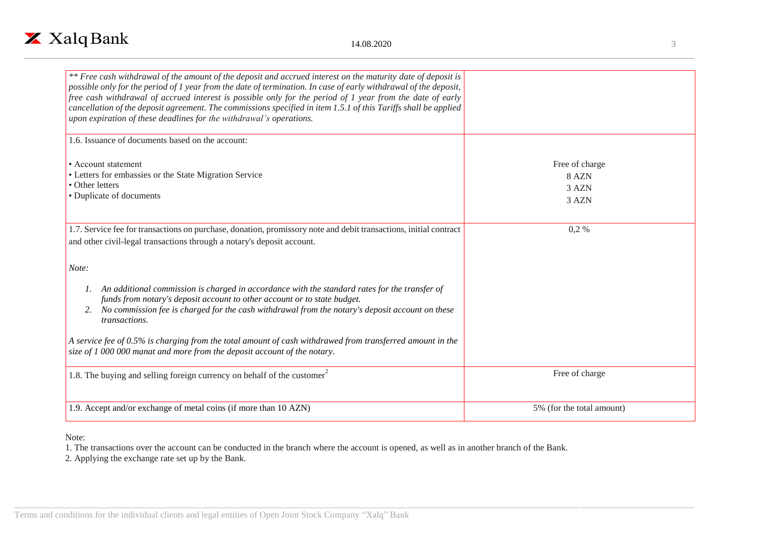

|          | ٠ |  |
|----------|---|--|
| <br>PU 1 |   |  |
|          |   |  |
|          |   |  |
|          |   |  |

| ** Free cash withdrawal of the amount of the deposit and accrued interest on the maturity date of deposit is<br>possible only for the period of 1 year from the date of termination. In case of early withdrawal of the deposit,<br>free cash withdrawal of accrued interest is possible only for the period of 1 year from the date of early<br>cancellation of the deposit agreement. The commissions specified in item 1.5.1 of this Tariffs shall be applied<br>upon expiration of these deadlines for the withdrawal's operations. |                                           |
|-----------------------------------------------------------------------------------------------------------------------------------------------------------------------------------------------------------------------------------------------------------------------------------------------------------------------------------------------------------------------------------------------------------------------------------------------------------------------------------------------------------------------------------------|-------------------------------------------|
| 1.6. Issuance of documents based on the account:                                                                                                                                                                                                                                                                                                                                                                                                                                                                                        |                                           |
| • Account statement<br>• Letters for embassies or the State Migration Service<br>• Other letters<br>• Duplicate of documents                                                                                                                                                                                                                                                                                                                                                                                                            | Free of charge<br>8 AZN<br>3 AZN<br>3 AZN |
| 1.7. Service fee for transactions on purchase, donation, promissory note and debit transactions, initial contract<br>and other civil-legal transactions through a notary's deposit account.                                                                                                                                                                                                                                                                                                                                             | $0,2\%$                                   |
| Note:                                                                                                                                                                                                                                                                                                                                                                                                                                                                                                                                   |                                           |
| An additional commission is charged in accordance with the standard rates for the transfer of<br>funds from notary's deposit account to other account or to state budget.<br>No commission fee is charged for the cash withdrawal from the notary's deposit account on these<br>2.<br>transactions.                                                                                                                                                                                                                                     |                                           |
| A service fee of 0.5% is charging from the total amount of cash withdrawed from transferred amount in the<br>size of 1 000 000 manat and more from the deposit account of the notary.                                                                                                                                                                                                                                                                                                                                                   |                                           |
| 1.8. The buying and selling foreign currency on behalf of the customer                                                                                                                                                                                                                                                                                                                                                                                                                                                                  | Free of charge                            |
| 1.9. Accept and/or exchange of metal coins (if more than 10 AZN)                                                                                                                                                                                                                                                                                                                                                                                                                                                                        | 5% (for the total amount)                 |

Note:

1. The transactions over the account can be conducted in the branch where the account is opened, as well as in another branch of the Bank.

2. Applying the exchange rate set up by the Bank.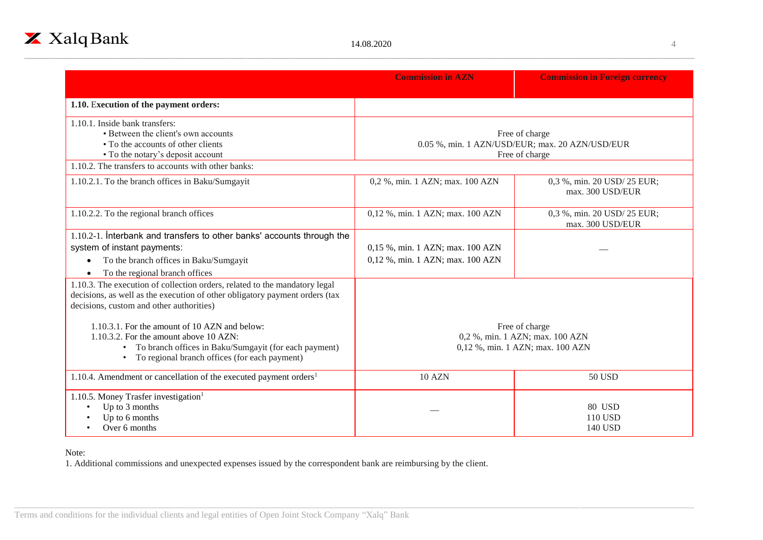

|                                                                                                                                                                                                       | <b>Commission in AZN</b>                                                            | <b>Commission in Foreign currency</b>           |
|-------------------------------------------------------------------------------------------------------------------------------------------------------------------------------------------------------|-------------------------------------------------------------------------------------|-------------------------------------------------|
| 1.10. Execution of the payment orders:                                                                                                                                                                |                                                                                     |                                                 |
| 1.10.1. Inside bank transfers:<br>• Between the client's own accounts<br>• To the accounts of other clients<br>• To the notary's deposit account                                                      | Free of charge<br>0.05 %, min. 1 AZN/USD/EUR; max. 20 AZN/USD/EUR<br>Free of charge |                                                 |
| 1.10.2. The transfers to accounts with other banks:                                                                                                                                                   |                                                                                     |                                                 |
| 1.10.2.1. To the branch offices in Baku/Sumgayit                                                                                                                                                      | 0,2 %, min. 1 AZN; max. 100 AZN                                                     | 0,3 %, min. 20 USD/ 25 EUR;<br>max. 300 USD/EUR |
| 1.10.2.2. To the regional branch offices                                                                                                                                                              | 0,12 %, min. 1 AZN; max. 100 AZN                                                    | 0,3 %, min. 20 USD/ 25 EUR;<br>max. 300 USD/EUR |
| 1.10.2-1. Interbank and transfers to other banks' accounts through the                                                                                                                                |                                                                                     |                                                 |
| system of instant payments:                                                                                                                                                                           | 0,15 %, min. 1 AZN; max. 100 AZN                                                    |                                                 |
| To the branch offices in Baku/Sumgayit                                                                                                                                                                | 0,12 %, min. 1 AZN; max. 100 AZN                                                    |                                                 |
| To the regional branch offices                                                                                                                                                                        |                                                                                     |                                                 |
| 1.10.3. The execution of collection orders, related to the mandatory legal<br>decisions, as well as the execution of other obligatory payment orders (tax<br>decisions, custom and other authorities) |                                                                                     |                                                 |
| 1.10.3.1. For the amount of 10 AZN and below:                                                                                                                                                         |                                                                                     | Free of charge                                  |
| 1.10.3.2. For the amount above 10 AZN:<br>• To branch offices in Baku/Sumgayit (for each payment)<br>• To regional branch offices (for each payment)                                                  | 0,2 %, min. 1 AZN; max. 100 AZN<br>0,12 %, min. 1 AZN; max. 100 AZN                 |                                                 |
| 1.10.4. Amendment or cancellation of the executed payment orders <sup>1</sup>                                                                                                                         | <b>10 AZN</b>                                                                       | <b>50 USD</b>                                   |
| 1.10.5. Money Trasfer investigation <sup>1</sup><br>Up to 3 months<br>Up to 6 months<br>Over 6 months                                                                                                 |                                                                                     | 80 USD<br><b>110 USD</b><br><b>140 USD</b>      |

Note:

1. Additional commissions and unexpected expenses issued by the correspondent bank are reimbursing by the client.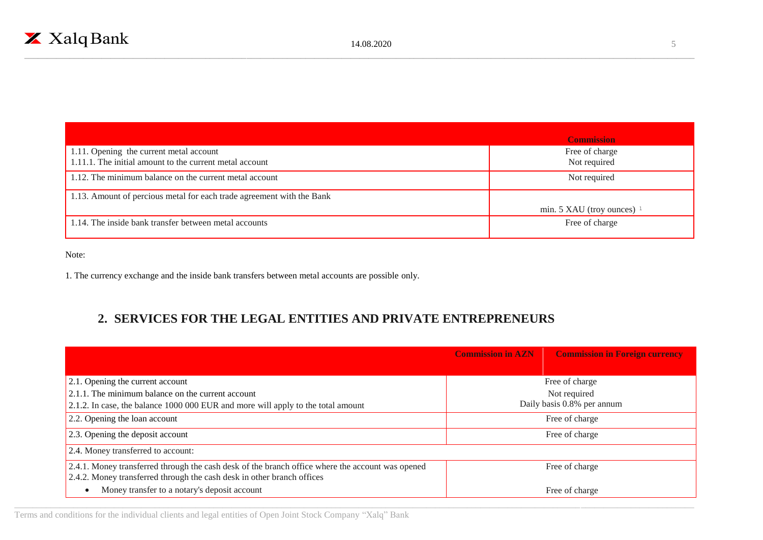

|                                                                                                    | <b>Commission</b>              |
|----------------------------------------------------------------------------------------------------|--------------------------------|
| 1.11. Opening the current metal account<br>1.11.1. The initial amount to the current metal account | Free of charge<br>Not required |
| 1.12. The minimum balance on the current metal account                                             | Not required                   |
| 1.13. Amount of percious metal for each trade agreement with the Bank                              |                                |
|                                                                                                    | min. 5 XAU (troy ounces) $1$   |
| 1.14. The inside bank transfer between metal accounts                                              | Free of charge                 |

Note:

1. The currency exchange and the inside bank transfers between metal accounts are possible only.

## **2. SERVICES FOR THE LEGAL ENTITIES AND PRIVATE ENTREPRENEURS**

|                                                                                                                                                                            | <b>Commission in AZN</b> | <b>Commission in Foreign currency</b> |
|----------------------------------------------------------------------------------------------------------------------------------------------------------------------------|--------------------------|---------------------------------------|
|                                                                                                                                                                            |                          |                                       |
| 2.1. Opening the current account                                                                                                                                           |                          | Free of charge                        |
| 2.1.1. The minimum balance on the current account                                                                                                                          |                          | Not required                          |
| 2.1.2. In case, the balance 1000 000 EUR and more will apply to the total amount                                                                                           |                          | Daily basis 0.8% per annum            |
| 2.2. Opening the loan account                                                                                                                                              |                          | Free of charge                        |
| 2.3. Opening the deposit account                                                                                                                                           |                          | Free of charge                        |
| 2.4. Money transferred to account:                                                                                                                                         |                          |                                       |
| 2.4.1. Money transferred through the cash desk of the branch office where the account was opened<br>2.4.2. Money transferred through the cash desk in other branch offices |                          | Free of charge                        |
| Money transfer to a notary's deposit account                                                                                                                               |                          | Free of charge                        |

Terms and conditions for the individual clients and legal entities of Open Joint Stock Company "Xalq" Bank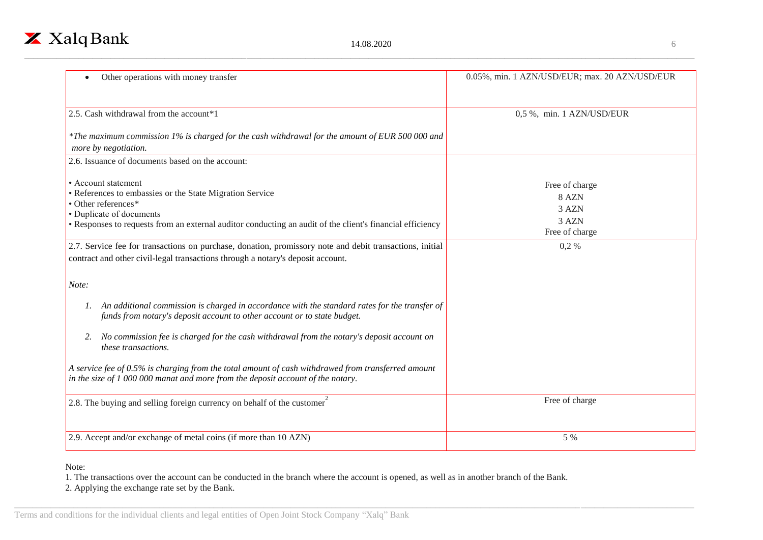

| Other operations with money transfer                                                                                                                                                                                                            | 0.05%, min. 1 AZN/USD/EUR; max. 20 AZN/USD/EUR              |
|-------------------------------------------------------------------------------------------------------------------------------------------------------------------------------------------------------------------------------------------------|-------------------------------------------------------------|
| 2.5. Cash withdrawal from the account*1                                                                                                                                                                                                         | 0,5 %, min. 1 AZN/USD/EUR                                   |
|                                                                                                                                                                                                                                                 |                                                             |
| *The maximum commission 1% is charged for the cash withdrawal for the amount of EUR 500 000 and<br>more by negotiation.                                                                                                                         |                                                             |
| 2.6. Issuance of documents based on the account:                                                                                                                                                                                                |                                                             |
| • Account statement<br>• References to embassies or the State Migration Service<br>• Other references*<br>• Duplicate of documents<br>• Responses to requests from an external auditor conducting an audit of the client's financial efficiency | Free of charge<br>8 AZN<br>3 AZN<br>3 AZN<br>Free of charge |
| 2.7. Service fee for transactions on purchase, donation, promissory note and debit transactions, initial<br>contract and other civil-legal transactions through a notary's deposit account.                                                     | $0,2\%$                                                     |
| Note:<br>1. An additional commission is charged in accordance with the standard rates for the transfer of<br>funds from notary's deposit account to other account or to state budget.                                                           |                                                             |
| No commission fee is charged for the cash withdrawal from the notary's deposit account on<br>these transactions.                                                                                                                                |                                                             |
| A service fee of 0.5% is charging from the total amount of cash withdrawed from transferred amount<br>in the size of $1000000$ manat and more from the deposit account of the notary.                                                           |                                                             |
| 2.8. The buying and selling foreign currency on behalf of the customer <sup>2</sup>                                                                                                                                                             | Free of charge                                              |
| 2.9. Accept and/or exchange of metal coins (if more than 10 AZN)                                                                                                                                                                                | 5 %                                                         |

Note:

1. The transactions over the account can be conducted in the branch where the account is opened, as well as in another branch of the Bank.

2. Applying the exchange rate set by the Bank.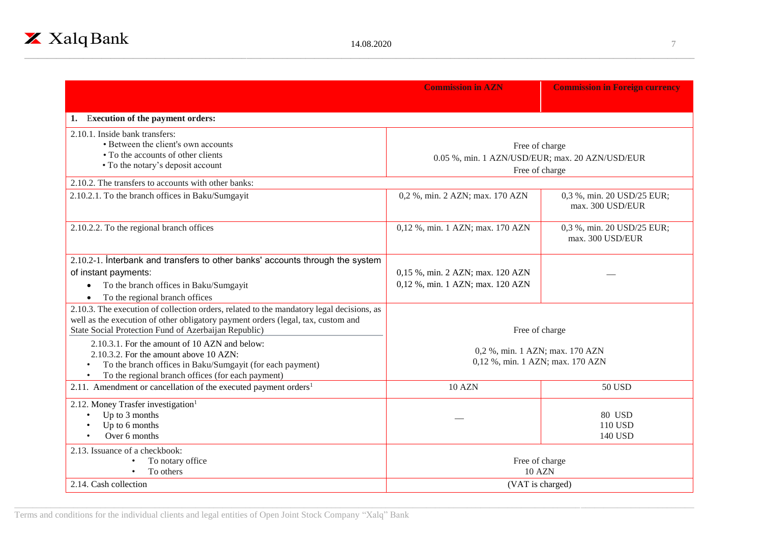|                                                                                                                                                                                                                                      | <b>Commission in AZN</b>                                             | <b>Commission in Foreign currency</b>          |
|--------------------------------------------------------------------------------------------------------------------------------------------------------------------------------------------------------------------------------------|----------------------------------------------------------------------|------------------------------------------------|
| <b>Execution of the payment orders:</b>                                                                                                                                                                                              |                                                                      |                                                |
| 2.10.1. Inside bank transfers:<br>• Between the client's own accounts<br>• To the accounts of other clients<br>• To the notary's deposit account                                                                                     | Free of charge<br>0.05 %, min. 1 AZN/USD/EUR; max. 20 AZN/USD/EUR    | Free of charge                                 |
| 2.10.2. The transfers to accounts with other banks:                                                                                                                                                                                  |                                                                      |                                                |
| 2.10.2.1. To the branch offices in Baku/Sumgayit                                                                                                                                                                                     | 0,2 %, min. 2 AZN; max. 170 AZN                                      | 0,3 %, min. 20 USD/25 EUR;<br>max. 300 USD/EUR |
| 2.10.2.2. To the regional branch offices                                                                                                                                                                                             | 0,12 %, min. 1 AZN; max. 170 AZN                                     | 0,3 %, min. 20 USD/25 EUR;<br>max. 300 USD/EUR |
| 2.10.2-1. Interbank and transfers to other banks' accounts through the system<br>of instant payments:<br>To the branch offices in Baku/Sumgayit<br>$\bullet$<br>To the regional branch offices                                       | 0,15 %, min. 2 AZN; max. 120 AZN<br>0,12 %, min. 1 AZN; max. 120 AZN |                                                |
| 2.10.3. The execution of collection orders, related to the mandatory legal decisions, as<br>well as the execution of other obligatory payment orders (legal, tax, custom and<br>State Social Protection Fund of Azerbaijan Republic) | Free of charge                                                       |                                                |
| 2.10.3.1. For the amount of 10 AZN and below:<br>2.10.3.2. For the amount above 10 AZN:<br>To the branch offices in Baku/Sumgayit (for each payment)<br>To the regional branch offices (for each payment)                            | 0,2 %, min. 1 AZN; max. 170 AZN<br>0,12 %, min. 1 AZN; max. 170 AZN  |                                                |
| 2.11. Amendment or cancellation of the executed payment orders <sup>1</sup>                                                                                                                                                          | <b>10 AZN</b>                                                        | <b>50 USD</b>                                  |
| 2.12. Money Trasfer investigation <sup>1</sup><br>Up to 3 months<br>Up to 6 months<br>Over 6 months                                                                                                                                  |                                                                      | 80 USD<br>110 USD<br>140 USD                   |
| 2.13. Issuance of a checkbook:<br>To notary office<br>$\bullet$<br>To others                                                                                                                                                         | Free of charge<br><b>10 AZN</b>                                      |                                                |
| 2.14. Cash collection                                                                                                                                                                                                                |                                                                      | (VAT is charged)                               |

Terms and conditions for the individual clients and legal entities of Open Joint Stock Company "Xalq" Bank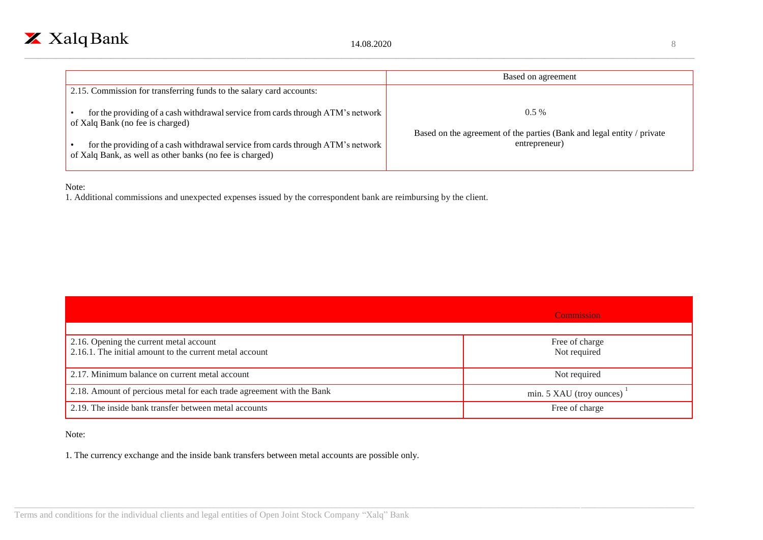

|                                                                                                                                             | Based on agreement                                                                      |
|---------------------------------------------------------------------------------------------------------------------------------------------|-----------------------------------------------------------------------------------------|
| 2.15. Commission for transferring funds to the salary card accounts:                                                                        |                                                                                         |
| for the providing of a cash withdrawal service from cards through ATM's network<br>of Xalq Bank (no fee is charged)                         | $0.5\%$                                                                                 |
| for the providing of a cash withdrawal service from cards through ATM's network<br>of Xalq Bank, as well as other banks (no fee is charged) | Based on the agreement of the parties (Bank and legal entity / private<br>entrepreneur) |

#### Note:

1. Additional commissions and unexpected expenses issued by the correspondent bank are reimbursing by the client.

|                                                                                                    | <b>Commission</b>              |
|----------------------------------------------------------------------------------------------------|--------------------------------|
| 2.16. Opening the current metal account<br>2.16.1. The initial amount to the current metal account | Free of charge<br>Not required |
| 2.17. Minimum balance on current metal account                                                     | Not required                   |
| 2.18. Amount of percious metal for each trade agreement with the Bank                              | min. 5 XAU (troy ounces)       |
| 2.19. The inside bank transfer between metal accounts                                              | Free of charge                 |

#### Note:

1. The currency exchange and the inside bank transfers between metal accounts are possible only.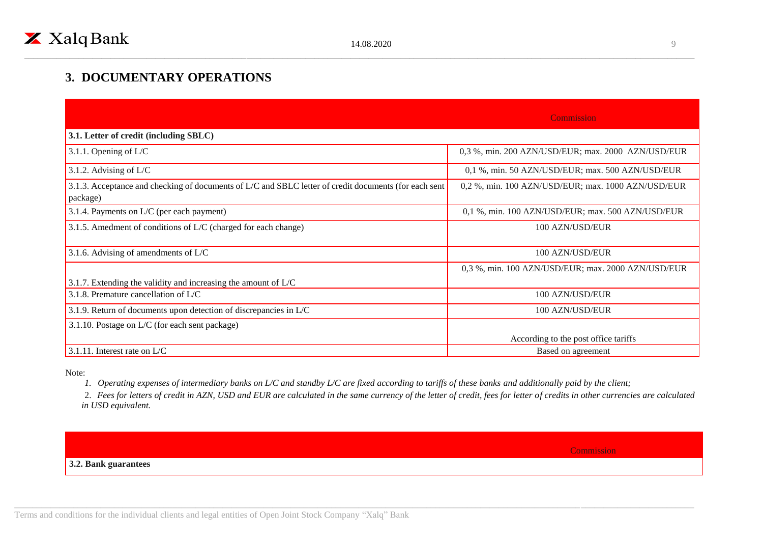## **3. DOCUMENTARY OPERATIONS**

|                                                                                                                   | Commission                                         |
|-------------------------------------------------------------------------------------------------------------------|----------------------------------------------------|
| 3.1. Letter of credit (including SBLC)                                                                            |                                                    |
| 3.1.1. Opening of L/C                                                                                             | 0,3 %, min. 200 AZN/USD/EUR; max. 2000 AZN/USD/EUR |
| 3.1.2. Advising of $L/C$                                                                                          | 0,1 %, min. 50 AZN/USD/EUR; max. 500 AZN/USD/EUR   |
| 3.1.3. Acceptance and checking of documents of L/C and SBLC letter of credit documents (for each sent<br>package) | 0,2 %, min. 100 AZN/USD/EUR; max. 1000 AZN/USD/EUR |
| 3.1.4. Payments on L/C (per each payment)                                                                         | 0,1 %, min. 100 AZN/USD/EUR; max. 500 AZN/USD/EUR  |
| 3.1.5. Amedment of conditions of L/C (charged for each change)                                                    | 100 AZN/USD/EUR                                    |
| 3.1.6. Advising of amendments of $L/C$                                                                            | 100 AZN/USD/EUR                                    |
| 3.1.7. Extending the validity and increasing the amount of $L/C$                                                  | 0,3 %, min. 100 AZN/USD/EUR; max. 2000 AZN/USD/EUR |
| 3.1.8. Premature cancellation of $L/C$                                                                            | 100 AZN/USD/EUR                                    |
| 3.1.9. Return of documents upon detection of discrepancies in L/C                                                 | 100 AZN/USD/EUR                                    |
| 3.1.10. Postage on L/C (for each sent package)                                                                    |                                                    |
|                                                                                                                   | According to the post office tariffs               |
| 3.1.11. Interest rate on $L/C$                                                                                    | Based on agreement                                 |

Note:

*1. Operating expenses of intermediary banks on L/C and standby L/C are fixed according to tariffs of these banks and additionally paid by the client;*

2. *Fees for letters of credit in AZN, USD and EUR are calculated in the same currency of the letter of credit, fees for letter of credits in other currencies are calculated in USD equivalent.*

**Commission** 

#### **3.2. Bank guarantees**

Terms and conditions for the individual clients and legal entities of Open Joint Stock Company "Xalq" Bank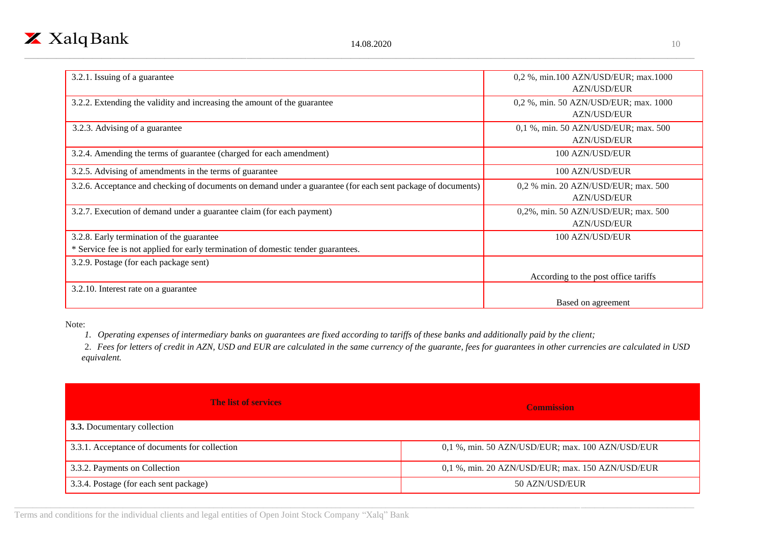

| 3.2.1. Issuing of a guarantee                                                                                | 0,2 %, min.100 AZN/USD/EUR; max.1000  |
|--------------------------------------------------------------------------------------------------------------|---------------------------------------|
|                                                                                                              | <b>AZN/USD/EUR</b>                    |
| 3.2.2. Extending the validity and increasing the amount of the guarantee                                     | 0,2 %, min. 50 AZN/USD/EUR; max. 1000 |
|                                                                                                              | <b>AZN/USD/EUR</b>                    |
| 3.2.3. Advising of a guarantee                                                                               | 0,1 %, min. 50 AZN/USD/EUR; max. 500  |
|                                                                                                              | <b>AZN/USD/EUR</b>                    |
| 3.2.4. Amending the terms of guarantee (charged for each amendment)                                          | 100 AZN/USD/EUR                       |
| 3.2.5. Advising of amendments in the terms of guarantee                                                      | 100 AZN/USD/EUR                       |
| 3.2.6. Acceptance and checking of documents on demand under a guarantee (for each sent package of documents) | 0,2 % min. 20 AZN/USD/EUR; max. 500   |
|                                                                                                              | <b>AZN/USD/EUR</b>                    |
| 3.2.7. Execution of demand under a guarantee claim (for each payment)                                        | 0,2%, min. 50 AZN/USD/EUR; max. 500   |
|                                                                                                              | <b>AZN/USD/EUR</b>                    |
| 3.2.8. Early termination of the guarantee                                                                    | 100 AZN/USD/EUR                       |
| * Service fee is not applied for early termination of domestic tender guarantees.                            |                                       |
| 3.2.9. Postage (for each package sent)                                                                       |                                       |
|                                                                                                              | According to the post office tariffs  |
| 3.2.10. Interest rate on a guarantee                                                                         |                                       |
|                                                                                                              | Based on agreement                    |

Note:

*1. Operating expenses of intermediary banks on guarantees are fixed according to tariffs of these banks and additionally paid by the client;*

2. *Fees for letters of credit in AZN, USD and EUR are calculated in the same currency of the guarante, fees for guarantees in other currencies are calculated in USD equivalent.*

| <b>The list of services</b>                   | <b>Commission</b>                                |
|-----------------------------------------------|--------------------------------------------------|
| 3.3. Documentary collection                   |                                                  |
| 3.3.1. Acceptance of documents for collection | 0,1 %, min. 50 AZN/USD/EUR; max. 100 AZN/USD/EUR |
| 3.3.2. Payments on Collection                 | 0,1 %, min. 20 AZN/USD/EUR; max. 150 AZN/USD/EUR |
| 3.3.4. Postage (for each sent package)        | 50 AZN/USD/EUR                                   |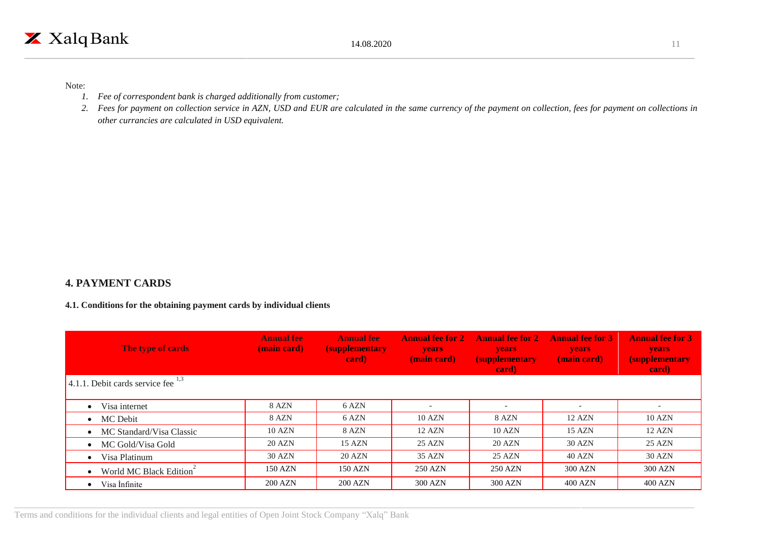#### Note:

- *1. Fee of correspondent bank is charged additionally from customer;*
- *2. Fees for payment on collection service in AZN, USD and EUR are calculated in the same currency of the payment on collection, fees for payment on collections in other currancies are calculated in USD equivalent.*

#### **4. PAYMENT CARDS**

#### **4.1. Conditions for the obtaining payment cards by individual clients**

| The type of cards                       | <b>Annual fee</b><br>(main card) | <b>Annual fee</b><br><i>(supplementary</i><br>card) | <b>Annual fee for 2</b><br><b>years</b><br>(main card) | <b>Annual fee for 2</b><br><b>years</b><br><b>(supplementary)</b><br>card) | <b>Annual fee for 3</b><br><b>years</b><br>(main card) | <b>Annual fee for 3</b><br><b>years</b><br><i>(supplementary)</i><br>card) |
|-----------------------------------------|----------------------------------|-----------------------------------------------------|--------------------------------------------------------|----------------------------------------------------------------------------|--------------------------------------------------------|----------------------------------------------------------------------------|
| 4.1.1. Debit cards service fee $^{1,3}$ |                                  |                                                     |                                                        |                                                                            |                                                        |                                                                            |
| Visa internet                           | 8 AZN                            | 6 AZN                                               |                                                        |                                                                            | $\overline{\phantom{0}}$                               |                                                                            |
| $\bullet$ MC Debit                      | 8 AZN                            | 6 AZN                                               | 10 AZN                                                 | 8 AZN                                                                      | 12 AZN                                                 | 10 AZN                                                                     |
| • MC Standard/Visa Classic              | 10 AZN                           | 8 AZN                                               | 12 AZN                                                 | 10 AZN                                                                     | $15 \text{ AZN}$                                       | $12$ AZN                                                                   |
| • MC Gold/Visa Gold                     | 20 AZN                           | 15 AZN                                              | 25 AZN                                                 | <b>20 AZN</b>                                                              | 30 AZN                                                 | 25 AZN                                                                     |
| Visa Platinum                           | 30 AZN                           | <b>20 AZN</b>                                       | 35 AZN                                                 | 25 AZN                                                                     | 40 AZN                                                 | 30 AZN                                                                     |
| • World MC Black Edition                | 150 AZN                          | 150 AZN                                             | 250 AZN                                                | 250 AZN                                                                    | 300 AZN                                                | 300 AZN                                                                    |
| Visa Infinite                           | <b>200 AZN</b>                   | <b>200 AZN</b>                                      | 300 AZN                                                | 300 AZN                                                                    | 400 AZN                                                | 400 AZN                                                                    |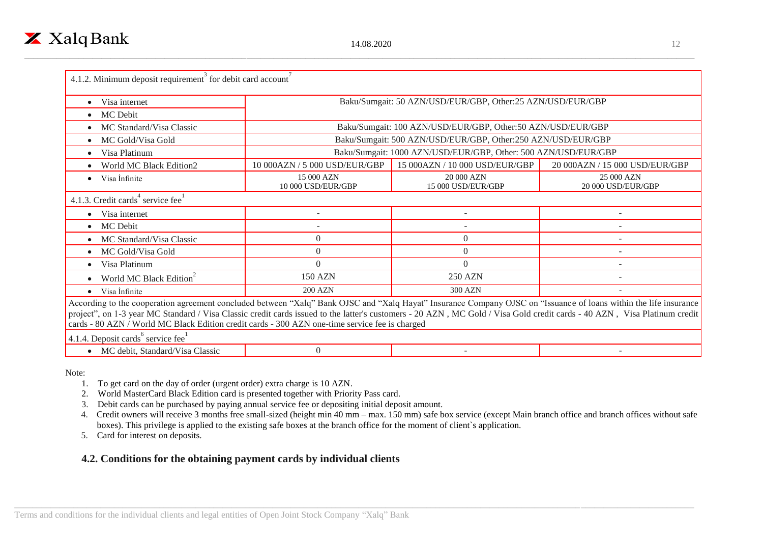| Visa internet                                                                                                                                                                                                                                                                                                                                                                                                                                                                                    |                                  | Baku/Sumgait: 50 AZN/USD/EUR/GBP, Other:25 AZN/USD/EUR/GBP     |                                  |  |  |
|--------------------------------------------------------------------------------------------------------------------------------------------------------------------------------------------------------------------------------------------------------------------------------------------------------------------------------------------------------------------------------------------------------------------------------------------------------------------------------------------------|----------------------------------|----------------------------------------------------------------|----------------------------------|--|--|
| MC Debit<br>$\bullet$                                                                                                                                                                                                                                                                                                                                                                                                                                                                            |                                  |                                                                |                                  |  |  |
| MC Standard/Visa Classic                                                                                                                                                                                                                                                                                                                                                                                                                                                                         |                                  | Baku/Sumgait: 100 AZN/USD/EUR/GBP, Other:50 AZN/USD/EUR/GBP    |                                  |  |  |
| MC Gold/Visa Gold                                                                                                                                                                                                                                                                                                                                                                                                                                                                                |                                  | Baku/Sumgait: 500 AZN/USD/EUR/GBP, Other:250 AZN/USD/EUR/GBP   |                                  |  |  |
| Visa Platinum                                                                                                                                                                                                                                                                                                                                                                                                                                                                                    |                                  | Baku/Sumgait: 1000 AZN/USD/EUR/GBP, Other: 500 AZN/USD/EUR/GBP |                                  |  |  |
| World MC Black Edition2                                                                                                                                                                                                                                                                                                                                                                                                                                                                          | 10 000AZN / 5 000 USD/EUR/GBP    | 15 000AZN / 10 000 USD/EUR/GBP                                 | 20 000AZN / 15 000 USD/EUR/GBP   |  |  |
| Visa Infinite<br>$\bullet$                                                                                                                                                                                                                                                                                                                                                                                                                                                                       | 15 000 AZN<br>10 000 USD/EUR/GBP | 20 000 AZN<br>15 000 USD/EUR/GBP                               | 25 000 AZN<br>20 000 USD/EUR/GBP |  |  |
| 4.1.3. Credit cards <sup>4</sup> service fee <sup>1</sup>                                                                                                                                                                                                                                                                                                                                                                                                                                        |                                  |                                                                |                                  |  |  |
| Visa internet                                                                                                                                                                                                                                                                                                                                                                                                                                                                                    |                                  |                                                                |                                  |  |  |
| MC Debit                                                                                                                                                                                                                                                                                                                                                                                                                                                                                         |                                  |                                                                |                                  |  |  |
| MC Standard/Visa Classic                                                                                                                                                                                                                                                                                                                                                                                                                                                                         | $\overline{0}$                   | $\theta$                                                       | ۰                                |  |  |
| MC Gold/Visa Gold                                                                                                                                                                                                                                                                                                                                                                                                                                                                                | $\theta$                         | $\Omega$                                                       |                                  |  |  |
| Visa Platinum                                                                                                                                                                                                                                                                                                                                                                                                                                                                                    | $\Omega$                         | $\Omega$                                                       |                                  |  |  |
| World MC Black Edition <sup>2</sup>                                                                                                                                                                                                                                                                                                                                                                                                                                                              | <b>150 AZN</b>                   | <b>250 AZN</b>                                                 |                                  |  |  |
| Visa Infinite<br>$\bullet$                                                                                                                                                                                                                                                                                                                                                                                                                                                                       | <b>200 AZN</b>                   | 300 AZN                                                        | $\overline{\phantom{a}}$         |  |  |
| According to the cooperation agreement concluded between "Xalq" Bank OJSC and "Xalq Hayat" Insurance Company OJSC on "Issuance of loans within the life insurance<br>project", on 1-3 year MC Standard / Visa Classic credit cards issued to the latter's customers - 20 AZN, MC Gold / Visa Gold credit cards - 40 AZN, Visa Platinum credit<br>cards - 80 AZN / World MC Black Edition credit cards - 300 AZN one-time service fee is charged<br>4.1.4. Deposit cards <sup>6</sup> service fee |                                  |                                                                |                                  |  |  |

• MC debit, Standard/Visa Classic 0

Note:

1. To get card on the day of order (urgent order) extra charge is 10 AZN.

2. World MasterCard Black Edition card is presented together with Priority Pass card.

3. Debit cards can be purchased by paying annual service fee or depositing initial deposit amount.

 4. Credit owners will receive 3 months free small-sized (height min 40 mm – max. 150 mm) safe box service (except Main branch office and branch offices without safe boxes). This privilege is applied to the existing safe boxes at the branch office for the moment of client`s application.

5. Card for interest on deposits.

#### **4.2. Conditions for the obtaining payment cards by individual clients**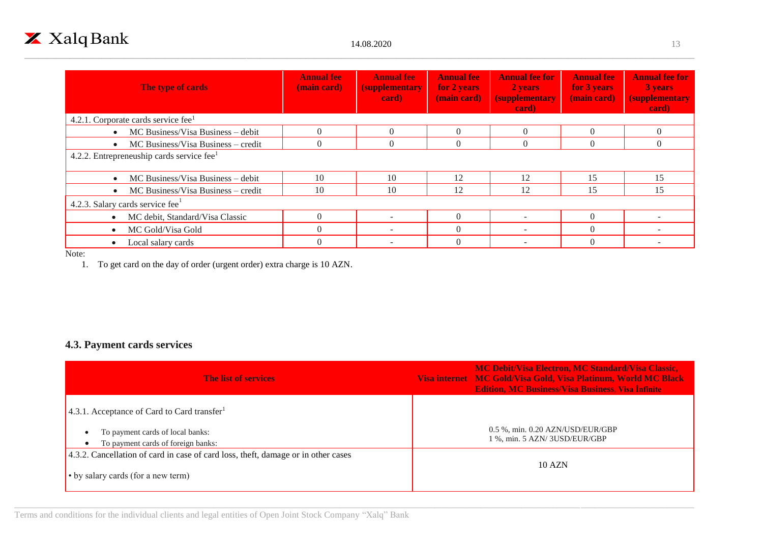

| The type of cards                                     | <b>Annual fee</b><br>(main card) | <b>Annual fee</b><br><b>(supplementary)</b><br>card) | <b>Annual fee</b><br>for 2 years<br>(main card) | <b>Annual fee for</b><br>2 years<br><b>(supplementary)</b><br>card) | <b>Annual fee</b><br>for 3 years<br>(main card) | <b>Annual fee for</b><br>3 years<br><i><b>(supplementary)</b></i><br>card) |
|-------------------------------------------------------|----------------------------------|------------------------------------------------------|-------------------------------------------------|---------------------------------------------------------------------|-------------------------------------------------|----------------------------------------------------------------------------|
| 4.2.1. Corporate cards service fee $1$                |                                  |                                                      |                                                 |                                                                     |                                                 |                                                                            |
| MC Business/Visa Business – debit                     | $\theta$                         | $\Omega$                                             | $\Omega$                                        | $\Omega$                                                            | $\Omega$                                        | $\Omega$                                                                   |
| MC Business/Visa Business – credit                    | $\overline{0}$                   | $\overline{0}$                                       | $\theta$                                        | $\Omega$                                                            | $\theta$                                        | $\Omega$                                                                   |
| 4.2.2. Entrepreneuship cards service fee <sup>1</sup> |                                  |                                                      |                                                 |                                                                     |                                                 |                                                                            |
| MC Business/Visa Business – debit                     | 10                               | 10                                                   | 12                                              | 12                                                                  | 15                                              | 15                                                                         |
| MC Business/Visa Business – credit                    | 10                               | 10                                                   | 12                                              | 12                                                                  | 15                                              | 15                                                                         |
| 4.2.3. Salary cards service fee                       |                                  |                                                      |                                                 |                                                                     |                                                 |                                                                            |
| MC debit, Standard/Visa Classic                       | $\Omega$                         |                                                      | $\Omega$                                        |                                                                     | $\Omega$                                        |                                                                            |
| MC Gold/Visa Gold                                     | $\Omega$                         | $\overline{\phantom{0}}$                             | $\Omega$                                        | $\overline{a}$                                                      | $\Omega$                                        | $\sim$                                                                     |
| Local salary cards                                    | $\Omega$                         | $\overline{\phantom{a}}$                             | $\Omega$                                        |                                                                     | $\Omega$                                        |                                                                            |

Note:

1. To get card on the day of order (urgent order) extra charge is 10 AZN.

## **4.3. Payment cards services**

| <b>The list of services</b>                                                                                             | <b>MC Debit/Visa Electron, MC Standard/Visa Classic,</b><br>Visa internet MC Gold/Visa Gold, Visa Platinum, World MC Black<br><b>Edition, MC Business/Visa Business, Visa Infinite</b> |
|-------------------------------------------------------------------------------------------------------------------------|----------------------------------------------------------------------------------------------------------------------------------------------------------------------------------------|
| 4.3.1. Acceptance of Card to Card transfer                                                                              |                                                                                                                                                                                        |
| To payment cards of local banks:<br>To payment cards of foreign banks:                                                  | 0.5 %, min. 0.20 AZN/USD/EUR/GBP<br>1 %, min. 5 AZN/3USD/EUR/GBP                                                                                                                       |
| 4.3.2. Cancellation of card in case of card loss, theft, damage or in other cases<br>• by salary cards (for a new term) | 10 AZN                                                                                                                                                                                 |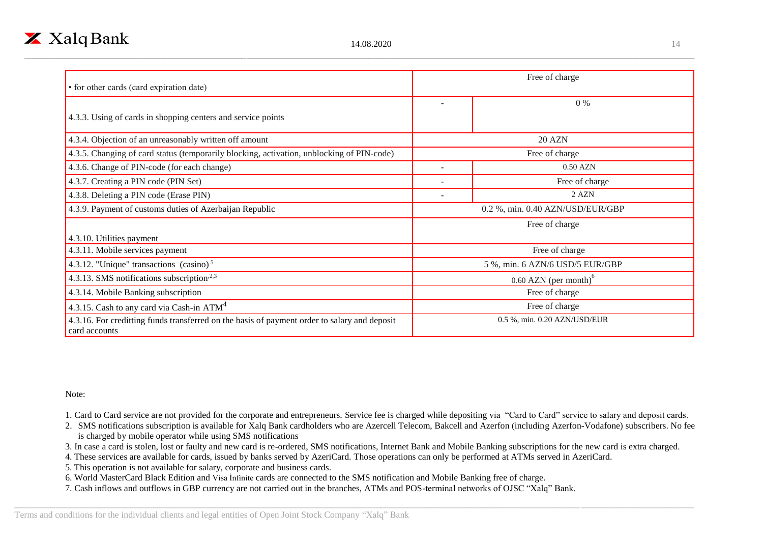| • for other cards (card expiration date)                                                                      | Free of charge                                   |                                 |  |
|---------------------------------------------------------------------------------------------------------------|--------------------------------------------------|---------------------------------|--|
| 4.3.3. Using of cards in shopping centers and service points                                                  |                                                  | $0\%$                           |  |
| 4.3.4. Objection of an unreasonably written off amount                                                        |                                                  | <b>20 AZN</b>                   |  |
| 4.3.5. Changing of card status (temporarily blocking, activation, unblocking of PIN-code)                     |                                                  | Free of charge                  |  |
| 4.3.6. Change of PIN-code (for each change)                                                                   | $\overline{\phantom{a}}$                         | $0.50$ AZN                      |  |
| 4.3.7. Creating a PIN code (PIN Set)                                                                          | $\overline{\phantom{0}}$                         | Free of charge                  |  |
| 4.3.8. Deleting a PIN code (Erase PIN)                                                                        |                                                  | 2 AZN                           |  |
| 4.3.9. Payment of customs duties of Azerbaijan Republic                                                       | 0.2 %, min. 0.40 AZN/USD/EUR/GBP                 |                                 |  |
|                                                                                                               |                                                  | Free of charge                  |  |
| 4.3.10. Utilities payment                                                                                     |                                                  |                                 |  |
| 4.3.11. Mobile services payment                                                                               |                                                  | Free of charge                  |  |
| 4.3.12. "Unique" transactions $(casino)5$                                                                     |                                                  | 5 %, min. 6 AZN/6 USD/5 EUR/GBP |  |
| 4.3.13. SMS notifications subscription <sup><math>2,3</math></sup>                                            | $0.60$ AZN (per month) <sup><math>o</math></sup> |                                 |  |
| 4.3.14. Mobile Banking subscription                                                                           | Free of charge                                   |                                 |  |
| 4.3.15. Cash to any card via Cash-in $ATM4$                                                                   | Free of charge                                   |                                 |  |
| 4.3.16. For creditting funds transferred on the basis of payment order to salary and deposit<br>card accounts |                                                  | 0.5 %, min. 0.20 AZN/USD/EUR    |  |

Note:

1. Card to Card service are not provided for the corporate and entrepreneurs. Service fee is charged while depositing via "Card to Card" service to salary and deposit cards.

2. SMS notifications subscription is available for Xalq Bank cardholders who are Azercell Telecom, Bakcell and Azerfon (including Azerfon-Vodafone) subscribers. No fee is charged by mobile operator while using SMS notifications

3. In case a card is stolen, lost or faulty and new card is re-ordered, SMS notifications, Internet Bank and Mobile Banking subscriptions for the new card is extra charged.

4. These services are available for cards, issued by banks served by AzeriCard. Those operations can only be performed at ATMs served in AzeriCard.

5. This operation is not available for salary, corporate and business cards.

6. World MasterCard Black Edition and Visa İnfinite cards are connected to the SMS notification and Mobile Banking free of charge.

7. Cash inflows and outflows in GBP currency are not carried out in the branches, ATMs and POS-terminal networks of OJSC "Xalq" Bank.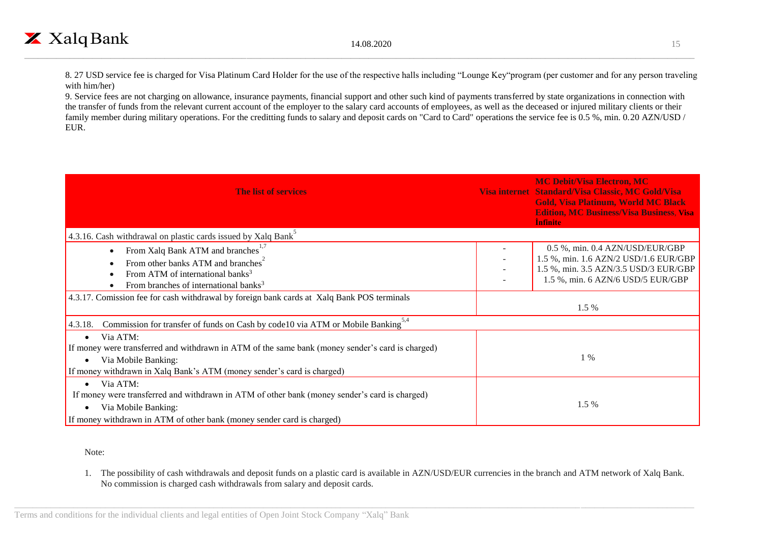8. 27 USD service fee is charged for Visa Platinum Card Holder for the use of the respective halls including "Lounge Key"program (per customer and for any person traveling with him/her)

9. Service fees are not charging on allowance, insurance payments, financial support and other such kind of payments transferred by state organizations in connection with the transfer of funds from the relevant current account of the employer to the salary card accounts of employees, as well as the deceased or injured military clients or their family member during military operations. For the creditting funds to salary and deposit cards on "Card to Card" operations the service fee is 0.5 %, min. 0.20 AZN/USD / EUR.

| <b>The list of services</b>                                                                                                                                                                                                | <b>MC Debit/Visa Electron, MC</b><br>Visa internet Standard/Visa Classic, MC Gold/Visa<br><b>Gold, Visa Platinum, World MC Black</b><br><b>Edition, MC Business/Visa Business, Visa</b><br><b>Infinite</b> |
|----------------------------------------------------------------------------------------------------------------------------------------------------------------------------------------------------------------------------|------------------------------------------------------------------------------------------------------------------------------------------------------------------------------------------------------------|
| 4.3.16. Cash withdrawal on plastic cards issued by Xalq Bank <sup>3</sup>                                                                                                                                                  |                                                                                                                                                                                                            |
| From Xalq Bank ATM and branches <sup>1,1</sup><br>From other banks ATM and branches <sup>2</sup><br>From ATM of international banks <sup>3</sup><br>From branches of international banks <sup>3</sup>                      | 0.5 %, min. 0.4 AZN/USD/EUR/GBP<br>1.5 %, min. 1.6 AZN/2 USD/1.6 EUR/GBP<br>1.5 %, min. 3.5 AZN/3.5 USD/3 EUR/GBP<br>1.5 %, min. 6 AZN/6 USD/5 EUR/GBP                                                     |
| 4.3.17. Comission fee for cash withdrawal by foreign bank cards at Xalq Bank POS terminals                                                                                                                                 | 1.5 %                                                                                                                                                                                                      |
| Commission for transfer of funds on Cash by code 10 via ATM or Mobile Banking <sup>5,4</sup><br>4.3.18.                                                                                                                    |                                                                                                                                                                                                            |
| Via ATM:<br>$\bullet$<br>If money were transferred and withdrawn in ATM of the same bank (money sender's card is charged)<br>Via Mobile Banking:<br>If money withdrawn in Xalq Bank's ATM (money sender's card is charged) | $1\%$                                                                                                                                                                                                      |
| Via ATM:<br>$\bullet$<br>If money were transferred and withdrawn in ATM of other bank (money sender's card is charged)<br>Via Mobile Banking:<br>If money withdrawn in ATM of other bank (money sender card is charged)    | $1.5\%$                                                                                                                                                                                                    |

Note:

1. The possibility of cash withdrawals and deposit funds on a plastic card is available in AZN/USD/EUR currencies in the branch and ATM network of Xalq Bank. No commission is charged cash withdrawals from salary and deposit cards.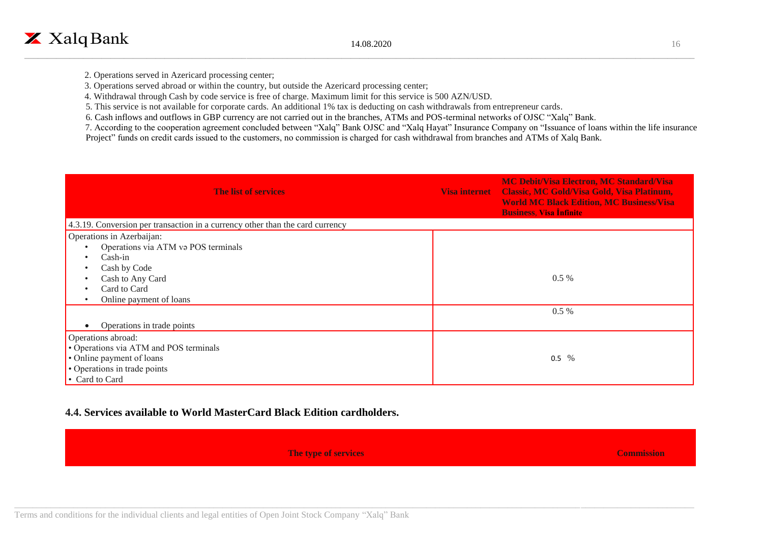3. Operations served abroad or within the country, but outside the Azericard processing center;

4. Withdrawal through Cash by code service is free of charge. Maximum limit for this service is 500 AZN/USD.

5. This service is not available for corporate cards. An additional 1% tax is deducting on cash withdrawals from entrepreneur cards.

6. Cash inflows and outflows in GBP currency are not carried out in the branches, ATMs and POS-terminal networks of OJSC "Xalq" Bank.

 7. According to the cooperation agreement concluded between "Xalq" Bank OJSC and "Xalq Hayat" Insurance Company on "Issuance of loans within the life insurance Project" funds on credit cards issued to the customers, no commission is charged for cash withdrawal from branches and ATMs of Xalq Bank.

| <b>The list of services</b>                                                                                                                                  | <b>Visa internet</b> | <b>MC Debit/Visa Electron, MC Standard/Visa</b><br><b>Classic, MC Gold/Visa Gold, Visa Platinum,</b><br><b>World MC Black Edition, MC Business/Visa</b><br><b>Business, Visa Infinite</b> |
|--------------------------------------------------------------------------------------------------------------------------------------------------------------|----------------------|-------------------------------------------------------------------------------------------------------------------------------------------------------------------------------------------|
| 4.3.19. Conversion per transaction in a currency other than the card currency                                                                                |                      |                                                                                                                                                                                           |
| Operations in Azerbaijan:<br>Operations via ATM va POS terminals<br>$Cash-in$<br>Cash by Code<br>Cash to Any Card<br>Card to Card<br>Online payment of loans |                      | $0.5\%$                                                                                                                                                                                   |
| Operations in trade points                                                                                                                                   |                      | $0.5\%$                                                                                                                                                                                   |
| Operations abroad:<br>• Operations via ATM and POS terminals<br>• Online payment of loans<br>• Operations in trade points<br>• Card to Card                  |                      | $0.5\%$                                                                                                                                                                                   |

#### **4.4. Services available to World MasterCard Black Edition cardholders.**

**The type of services Commission**

Terms and conditions for the individual clients and legal entities of Open Joint Stock Company "Xalq" Bank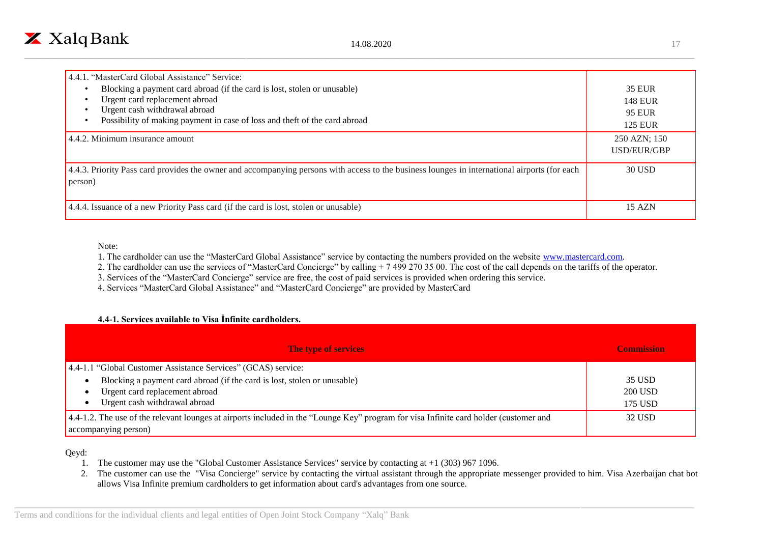

| 4.4.1. "MasterCard Global Assistance" Service:                                                                                                                                                                            |                                                             |
|---------------------------------------------------------------------------------------------------------------------------------------------------------------------------------------------------------------------------|-------------------------------------------------------------|
| Blocking a payment card abroad (if the card is lost, stolen or unusable)<br>Urgent card replacement abroad<br>Urgent cash withdrawal abroad<br>Possibility of making payment in case of loss and theft of the card abroad | <b>35 EUR</b><br><b>148 EUR</b><br>95 EUR<br><b>125 EUR</b> |
| 4.4.2. Minimum insurance amount                                                                                                                                                                                           | 250 AZN; 150<br>USD/EUR/GBP                                 |
| 4.4.3. Priority Pass card provides the owner and accompanying persons with access to the business lounges in international airports (for each<br>person)                                                                  | 30 USD                                                      |
| 4.4.4. Issuance of a new Priority Pass card (if the card is lost, stolen or unusable)                                                                                                                                     | 15 AZN                                                      |

Note:

1. The cardholder can use the "MasterCard Global Assistance" service by contacting the numbers provided on the website [www.mastercard.com.](http://www.mastercard.com/)

2. The cardholder can use the services of "MasterCard Concierge" by calling + 7 499 270 35 00. The cost of the call depends on the tariffs of the operator.

3. Services of the "MasterCard Concierge" service are free, the cost of paid services is provided when ordering this service.

4. Services "MasterCard Global Assistance" and "MasterCard Concierge" are provided by MasterCard

#### **4.4-1. Services available to Visa İnfinite cardholders.**

| The type of services                                                                                                                                          | <b>Commission</b> |
|---------------------------------------------------------------------------------------------------------------------------------------------------------------|-------------------|
| 4.4-1.1 "Global Customer Assistance Services" (GCAS) service:                                                                                                 |                   |
| Blocking a payment card abroad (if the card is lost, stolen or unusable)                                                                                      | 35 USD            |
| Urgent card replacement abroad                                                                                                                                | 200 USD           |
| Urgent cash withdrawal abroad                                                                                                                                 | 175 USD           |
| 4.4-1.2. The use of the relevant lounges at airports included in the "Lounge Key" program for visa Infinite card holder (customer and<br>accompanying person) | 32 USD            |

Qeyd:

- 1. The customer may use the "Global Customer Assistance Services" service by contacting at +1 (303) 967 1096.
- 2. The customer can use the "Visa Concierge" service by contacting the virtual assistant through the appropriate messenger provided to him. Visa Azerbaijan chat bot allows Visa Infinite premium cardholders to get information about card's advantages from one source.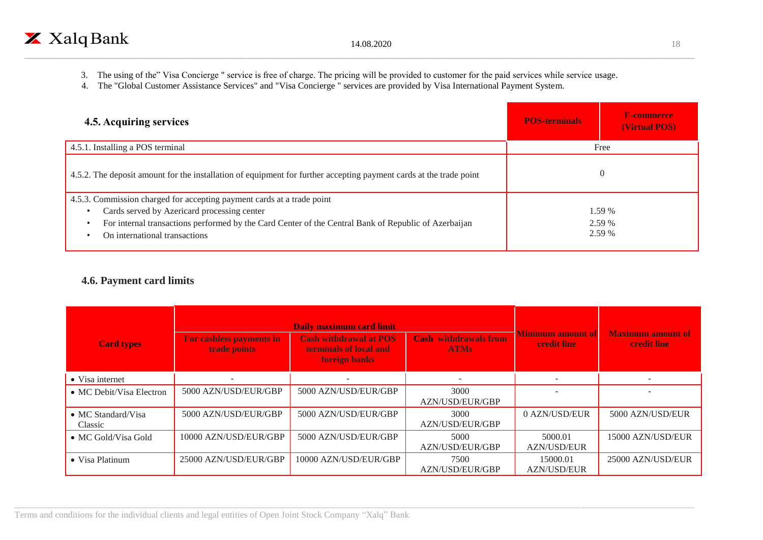3. The using of the" Visa Concierge " service is free of charge. The pricing will be provided to customer for the paid services while service usage.

\_\_\_\_\_\_\_\_\_\_\_\_\_\_\_\_\_\_\_\_\_\_\_\_\_\_\_\_\_\_\_\_\_\_\_\_\_\_\_\_\_\_\_\_\_\_\_\_\_\_\_\_\_\_\_\_\_\_\_\_\_\_\_\_\_\_\_\_\_\_\_\_\_\_\_\_\_\_\_\_\_\_\_\_\_\_\_\_\_\_\_\_\_\_\_\_\_\_\_\_\_\_\_\_\_\_\_\_\_\_\_\_\_\_\_\_\_\_\_\_\_\_\_\_\_\_\_\_\_\_\_\_\_\_\_\_\_\_\_\_\_\_\_\_\_\_\_\_

4. The "Global Customer Assistance Services" and "Visa Concierge " services are provided by Visa International Payment System.

| 4.5. Acquiring services                                                                                            | <b>POS-terminals</b> | E-commerce<br>(Virtual POS) |
|--------------------------------------------------------------------------------------------------------------------|----------------------|-----------------------------|
| 4.5.1. Installing a POS terminal                                                                                   |                      | Free                        |
| 4.5.2. The deposit amount for the installation of equipment for further accepting payment cards at the trade point |                      | $\overline{0}$              |
| 4.5.3. Commission charged for accepting payment cards at a trade point                                             |                      |                             |
| Cards served by Azericard processing center                                                                        |                      | $1.59\%$                    |
| For internal transactions performed by the Card Center of the Central Bank of Republic of Azerbaijan               |                      | 2.59 %                      |
| On international transactions                                                                                      |                      | 2.59 %                      |
|                                                                                                                    |                      |                             |

### **4.6. Payment card limits**

| <b>Card types</b>                    | For cashless payments in<br>trade points | Daily maximum card limit<br><b>Cash withdrawal at POS</b><br>terminals of local and<br>foreign banks | <b>Cash withdrawals from</b><br><b>ATMs</b> | <b>Minimum amount of</b><br><b>credit line</b> | <b>Maximum amount of</b><br><b>credit line</b> |
|--------------------------------------|------------------------------------------|------------------------------------------------------------------------------------------------------|---------------------------------------------|------------------------------------------------|------------------------------------------------|
| • Visa internet                      |                                          |                                                                                                      |                                             |                                                |                                                |
| • MC Debit/Visa Electron             | 5000 AZN/USD/EUR/GBP                     | 5000 AZN/USD/EUR/GBP                                                                                 | 3000<br>AZN/USD/EUR/GBP                     |                                                |                                                |
| • MC Standard/Visa<br><b>Classic</b> | 5000 AZN/USD/EUR/GBP                     | 5000 AZN/USD/EUR/GBP                                                                                 | 3000<br>AZN/USD/EUR/GBP                     | 0 AZN/USD/EUR                                  | 5000 AZN/USD/EUR                               |
| • MC Gold/Visa Gold                  | 10000 AZN/USD/EUR/GBP                    | 5000 AZN/USD/EUR/GBP                                                                                 | 5000<br>AZN/USD/EUR/GBP                     | 5000.01<br><b>AZN/USD/EUR</b>                  | 15000 AZN/USD/EUR                              |
| • Visa Platinum                      | 25000 AZN/USD/EUR/GBP                    | 10000 AZN/USD/EUR/GBP                                                                                | 7500<br>AZN/USD/EUR/GBP                     | 15000.01<br><b>AZN/USD/EUR</b>                 | 25000 AZN/USD/EUR                              |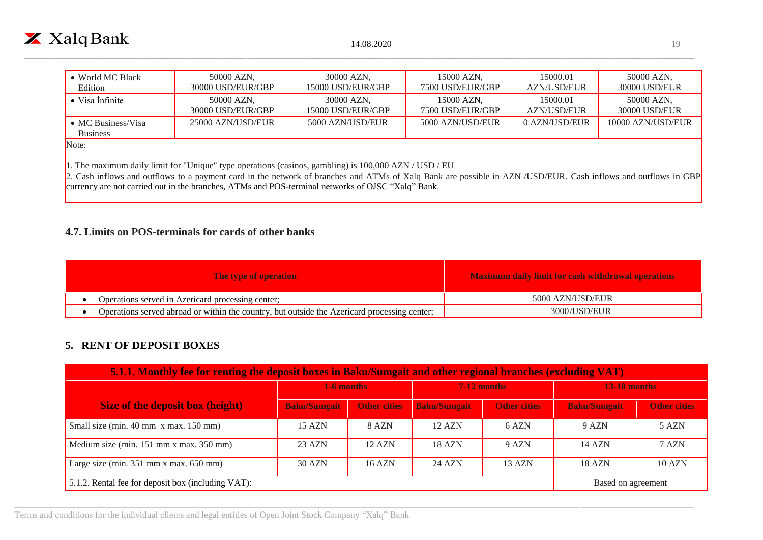

| • World MC Black                                                                                                 | 50000 AZN,        | 30000 AZN.         | 15000 AZN,       | 15000.01           | 50000 AZN,        |  |
|------------------------------------------------------------------------------------------------------------------|-------------------|--------------------|------------------|--------------------|-------------------|--|
| Edition                                                                                                          | 30000 USD/EUR/GBP | 15000 USD/EUR/GBP  | 7500 USD/EUR/GBP | <b>AZN/USD/EUR</b> | 30000 USD/EUR     |  |
| $\bullet$ Visa Infinite                                                                                          | 50000 AZN.        | 30000 AZN.         | 15000 AZN,       | 15000.01           | 50000 AZN.        |  |
|                                                                                                                  | 30000 USD/EUR/GBP | 15000 USD/EUR/GBP_ | 7500 USD/EUR/GBP | <b>AZN/USD/EUR</b> | 30000 USD/EUR     |  |
| $\bullet$ MC Business/Visa<br><b>Business</b>                                                                    | 25000 AZN/USD/EUR | 5000 AZN/USD/EUR   | 5000 AZN/USD/EUR | 0 AZN/USD/EUR      | 10000 AZN/USD/EUR |  |
| Note:<br>1. The maximum daily limit for "Unique" type operations (casinos, gambling) is $100,000$ AZN / USD / EU |                   |                    |                  |                    |                   |  |

2. Cash inflows and outflows to a payment card in the network of branches and ATMs of Xalq Bank are possible in AZN /USD/EUR. Cash inflows and outflows in GBP currency are not carried out in the branches, ATMs and POS-terminal networks of OJSC "Xalq" Bank.

#### **4.7. Limits on POS-terminals for cards of other banks**

| <b>The type of operation</b> |                                                                                              | <b>Maximum daily limit for cash withdrawal operations</b> |  |
|------------------------------|----------------------------------------------------------------------------------------------|-----------------------------------------------------------|--|
|                              | Operations served in Azericard processing center;                                            | 5000 AZN/USD/EUR                                          |  |
|                              | Operations served abroad or within the country, but outside the Azericard processing center; | 3000/USD/EUR                                              |  |

### **5. RENT OF DEPOSIT BOXES**

| 5.1.1. Monthly fee for renting the deposit boxes in Baku/Sumgait and other regional branches (excluding VAT) |                     |                     |                     |                     |                     |                     |  |
|--------------------------------------------------------------------------------------------------------------|---------------------|---------------------|---------------------|---------------------|---------------------|---------------------|--|
|                                                                                                              | 1-6 months          |                     | $7-12$ months       |                     | <b>13-18 months</b> |                     |  |
| <b>Size of the deposit box (height)</b>                                                                      | <b>Baku/Sumgait</b> | <b>Other cities</b> | <b>Baku/Sumgait</b> | <b>Other cities</b> | <b>Baku/Sumgait</b> | <b>Other cities</b> |  |
| Small size (min. 40 mm x max. 150 mm)                                                                        | 15 AZN              | 8 AZN               | 12 AZN              | 6 AZN               | 9 AZN               | 5 AZN               |  |
| Medium size (min. 151 mm x max. 350 mm)                                                                      | 23 AZN              | 12 AZN              | 18 AZN              | 9 AZN               | 14 AZN              | 7 AZN               |  |
| Large size (min. $351$ mm x max. $650$ mm)                                                                   | 30 AZN              | 16 AZN              | 24 AZN              | 13 AZN              | 18 AZN              | <b>10 AZN</b>       |  |
| 5.1.2. Rental fee for deposit box (including VAT):                                                           |                     |                     |                     | Based on agreement  |                     |                     |  |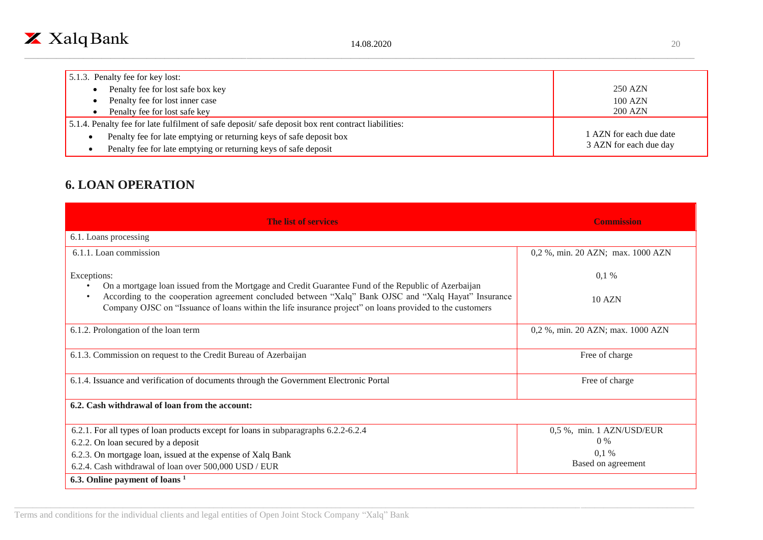

| 5.1.3. Penalty fee for key lost:                                                                   |                         |
|----------------------------------------------------------------------------------------------------|-------------------------|
| Penalty fee for lost safe box key                                                                  | 250 AZN                 |
| Penalty fee for lost inner case                                                                    | $100$ AZN               |
| Penalty fee for lost safe key                                                                      | 200 AZN                 |
| 5.1.4. Penalty fee for late fulfilment of safe deposit/safe deposit box rent contract liabilities: |                         |
| Penalty fee for late emptying or returning keys of safe deposit box                                | 1 AZN for each due date |
| Penalty fee for late emptying or returning keys of safe deposit                                    | 3 AZN for each due day  |

## **6. LOAN OPERATION**

| <b>The list of services</b>                                                                                                                                                                                      | <b>Commission</b>                 |
|------------------------------------------------------------------------------------------------------------------------------------------------------------------------------------------------------------------|-----------------------------------|
| 6.1. Loans processing                                                                                                                                                                                            |                                   |
| 6.1.1. Loan commission                                                                                                                                                                                           | 0,2 %, min. 20 AZN; max. 1000 AZN |
| Exceptions:<br>On a mortgage loan issued from the Mortgage and Credit Guarantee Fund of the Republic of Azerbaijan                                                                                               | $0,1\%$                           |
| According to the cooperation agreement concluded between "Xalq" Bank OJSC and "Xalq Hayat" Insurance<br>Company OJSC on "Issuance of loans within the life insurance project" on loans provided to the customers | 10 AZN                            |
| 6.1.2. Prolongation of the loan term                                                                                                                                                                             | 0,2 %, min. 20 AZN; max. 1000 AZN |
| 6.1.3. Commission on request to the Credit Bureau of Azerbaijan                                                                                                                                                  | Free of charge                    |
| 6.1.4. Issuance and verification of documents through the Government Electronic Portal                                                                                                                           | Free of charge                    |
| 6.2. Cash withdrawal of loan from the account:                                                                                                                                                                   |                                   |
| 6.2.1. For all types of loan products except for loans in subparagraphs 6.2.2-6.2.4                                                                                                                              | 0,5 %, min. 1 AZN/USD/EUR         |
| 6.2.2. On loan secured by a deposit                                                                                                                                                                              | $0\%$                             |
| 6.2.3. On mortgage loan, issued at the expense of Xalq Bank                                                                                                                                                      | $0.1\%$                           |
| 6.2.4. Cash withdrawal of loan over 500,000 USD / EUR                                                                                                                                                            | Based on agreement                |
| 6.3. Online payment of loans <sup>1</sup>                                                                                                                                                                        |                                   |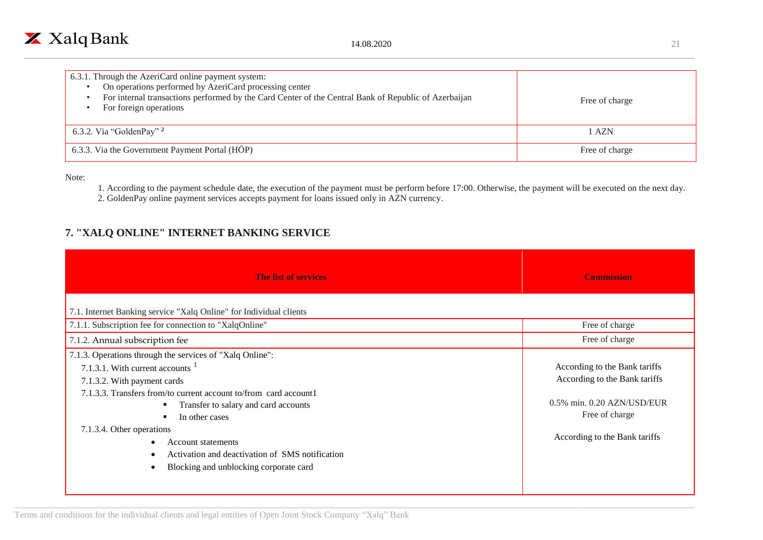

| 6.3.1. Through the AzeriCard online payment system:<br>On operations performed by AzeriCard processing center<br>For internal transactions performed by the Card Center of the Central Bank of Republic of Azerbaijan<br>For foreign operations | Free of charge |
|-------------------------------------------------------------------------------------------------------------------------------------------------------------------------------------------------------------------------------------------------|----------------|
| 6.3.2. Via "GoldenPay" $2$                                                                                                                                                                                                                      | l AZN          |
| 6.3.3. Via the Government Payment Portal (HÖP)                                                                                                                                                                                                  | Free of charge |

Note:

- 1. According to the payment schedule date, the execution of the payment must be perform before 17:00. Otherwise, the payment will be executed on the next day.
- 2. GoldenPay online payment services accepts payment for loans issued only in AZN currency.

## **7. "XALQ ONLINE" INTERNET BANKING SERVICE**

| <b>The list of services</b>                                                                                                                                                                                                                                                                                                                                                                                                          | <b>Commission</b>                                                                                                                               |
|--------------------------------------------------------------------------------------------------------------------------------------------------------------------------------------------------------------------------------------------------------------------------------------------------------------------------------------------------------------------------------------------------------------------------------------|-------------------------------------------------------------------------------------------------------------------------------------------------|
| 7.1. Internet Banking service "Xalq Online" for Individual clients                                                                                                                                                                                                                                                                                                                                                                   |                                                                                                                                                 |
| 7.1.1. Subscription fee for connection to "XalqOnline"                                                                                                                                                                                                                                                                                                                                                                               | Free of charge                                                                                                                                  |
| 7.1.2. Annual subscription fee                                                                                                                                                                                                                                                                                                                                                                                                       | Free of charge                                                                                                                                  |
| 7.1.3. Operations through the services of "Xalq Online":<br>7.1.3.1. With current accounts $1$<br>7.1.3.2. With payment cards<br>7.1.3.3. Transfers from/to current account to/from card account1<br>Transfer to salary and card accounts<br>In other cases<br>7.1.3.4. Other operations<br><b>Account statements</b><br>$\bullet$<br>Activation and deactivation of SMS notification<br>Blocking and unblocking corporate card<br>٠ | According to the Bank tariffs<br>According to the Bank tariffs<br>0.5% min. 0.20 AZN/USD/EUR<br>Free of charge<br>According to the Bank tariffs |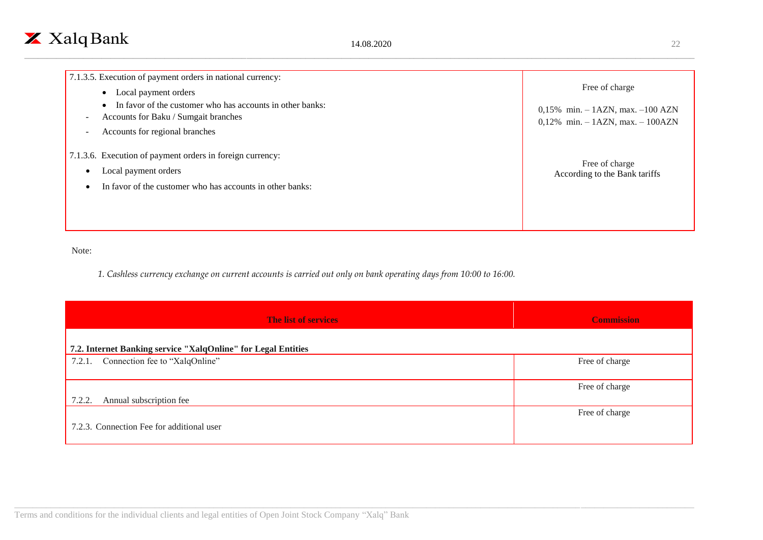| 7.1.3.5. Execution of payment orders in national currency:<br>Local payment orders                                                                               | Free of charge                                                                 |
|------------------------------------------------------------------------------------------------------------------------------------------------------------------|--------------------------------------------------------------------------------|
| In favor of the customer who has accounts in other banks:<br>Accounts for Baku / Sumgait branches<br>$\sim$<br>Accounts for regional branches<br>$\sim$          | 0,15% min. $-$ 1AZN, max. $-100$ AZN<br>$0,12\%$ min. $-1AZN$ , max. $-100AZN$ |
| 7.1.3.6. Execution of payment orders in foreign currency:<br>Local payment orders<br>٠<br>In favor of the customer who has accounts in other banks:<br>$\bullet$ | Free of charge<br>According to the Bank tariffs                                |

Note:

*1. Cashless currency exchange on current accounts is carried out only on bank operating days from 10:00 to 16:00.*

| <b>The list of services</b>                                   | <b>Commission</b> |
|---------------------------------------------------------------|-------------------|
| 7.2. Internet Banking service "XalqOnline" for Legal Entities |                   |
| 7.2.1. Connection fee to "XalqOnline"                         | Free of charge    |
| 7.2.2.<br>Annual subscription fee                             | Free of charge    |
| 7.2.3. Connection Fee for additional user                     | Free of charge    |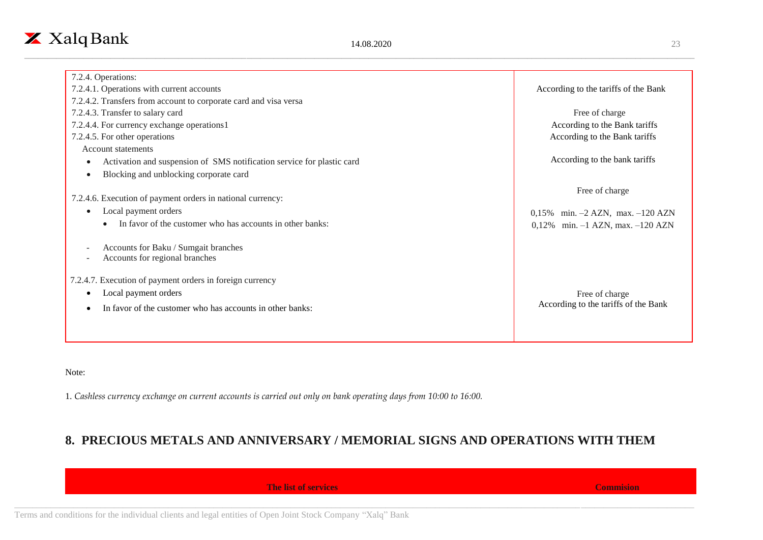| 7.2.4. Operations:                                                                                 |                                      |
|----------------------------------------------------------------------------------------------------|--------------------------------------|
| 7.2.4.1. Operations with current accounts                                                          | According to the tariffs of the Bank |
| 7.2.4.2. Transfers from account to corporate card and visa versa                                   |                                      |
| 7.2.4.3. Transfer to salary card                                                                   | Free of charge                       |
| 7.2.4.4. For currency exchange operations1                                                         | According to the Bank tariffs        |
| 7.2.4.5. For other operations                                                                      | According to the Bank tariffs        |
| Account statements                                                                                 |                                      |
| Activation and suspension of SMS notification service for plastic card                             | According to the bank tariffs        |
| Blocking and unblocking corporate card<br>$\bullet$                                                |                                      |
|                                                                                                    | Free of charge                       |
| 7.2.4.6. Execution of payment orders in national currency:                                         |                                      |
| Local payment orders<br>$\bullet$                                                                  | 0,15% min. $-2$ AZN, max. $-120$ AZN |
| In favor of the customer who has accounts in other banks:<br>$\bullet$                             | 0,12% min. $-1$ AZN, max. $-120$ AZN |
| Accounts for Baku / Sumgait branches<br>$\overline{\phantom{a}}$<br>Accounts for regional branches |                                      |
| 7.2.4.7. Execution of payment orders in foreign currency                                           |                                      |
| Local payment orders                                                                               | Free of charge                       |
| In favor of the customer who has accounts in other banks:                                          | According to the tariffs of the Bank |
|                                                                                                    |                                      |

Note:

1. *Cashless currency exchange on current accounts is carried out only on bank operating days from 10:00 to 16:00.*

## **8. PRECIOUS METALS AND ANNIVERSARY / MEMORIAL SIGNS AND OPERATIONS WITH THEM**

**The list of services Commision**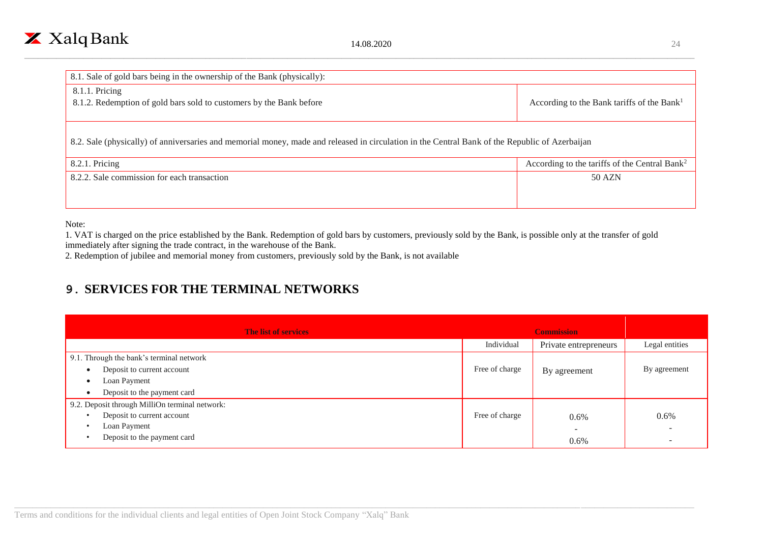

| 8.1. Sale of gold bars being in the ownership of the Bank (physically):                                                                        |                                                           |  |  |  |
|------------------------------------------------------------------------------------------------------------------------------------------------|-----------------------------------------------------------|--|--|--|
| 8.1.1. Pricing                                                                                                                                 |                                                           |  |  |  |
| 8.1.2. Redemption of gold bars sold to customers by the Bank before                                                                            | According to the Bank tariffs of the Bank <sup>1</sup>    |  |  |  |
|                                                                                                                                                |                                                           |  |  |  |
|                                                                                                                                                |                                                           |  |  |  |
| 8.2. Sale (physically) of anniversaries and memorial money, made and released in circulation in the Central Bank of the Republic of Azerbaijan |                                                           |  |  |  |
|                                                                                                                                                |                                                           |  |  |  |
| 8.2.1. Pricing                                                                                                                                 | According to the tariffs of the Central Bank <sup>2</sup> |  |  |  |
| 8.2.2. Sale commission for each transaction                                                                                                    | 50 AZN                                                    |  |  |  |
|                                                                                                                                                |                                                           |  |  |  |
|                                                                                                                                                |                                                           |  |  |  |
|                                                                                                                                                |                                                           |  |  |  |

Note:

1. VAT is charged on the price established by the Bank. Redemption of gold bars by customers, previously sold by the Bank, is possible only at the transfer of gold immediately after signing the trade contract, in the warehouse of the Bank.

2. Redemption of jubilee and memorial money from customers, previously sold by the Bank, is not available

## **9. SERVICES FOR THE TERMINAL NETWORKS**

| The list of services                           |                | <b>Commission</b>     |                |
|------------------------------------------------|----------------|-----------------------|----------------|
|                                                | Individual     | Private entrepreneurs | Legal entities |
| 9.1. Through the bank's terminal network       |                |                       |                |
| Deposit to current account<br>$\bullet$        | Free of charge | By agreement          | By agreement   |
| Loan Payment<br>$\bullet$                      |                |                       |                |
| Deposit to the payment card<br>$\bullet$       |                |                       |                |
| 9.2. Deposit through MilliOn terminal network: |                |                       |                |
| Deposit to current account<br>٠                | Free of charge | $0.6\%$               | 0.6%           |
| Loan Payment<br>$\bullet$                      |                |                       |                |
| Deposit to the payment card                    |                | 0.6%                  |                |